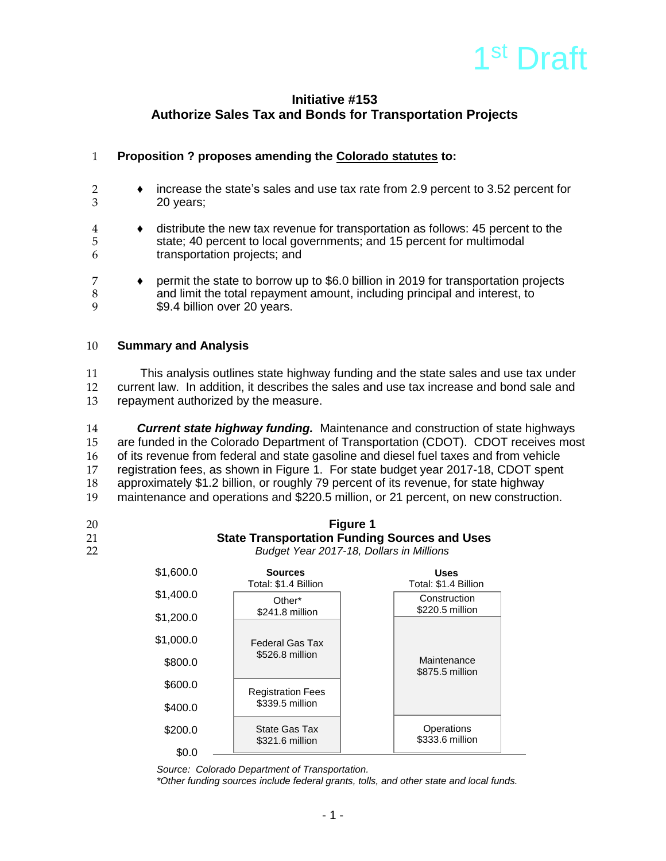

# **Initiative #153 Authorize Sales Tax and Bonds for Transportation Projects**

# 1 **Proposition ? proposes amending the Colorado statutes to:**

- 2 ♦ increase the state's sales and use tax rate from 2.9 percent to 3.52 percent for 20 years;
- 4 ♦ distribute the new tax revenue for transportation as follows: 45 percent to the 5 state; 40 percent to local governments; and 15 percent for multimodal to transportation projects: and transportation projects; and
- 7 **♦ permit the state to borrow up to \$6.0 billion in 2019 for transportation projects**<br>8 **and limit the total repayment amount**, including principal and interest, to 8 and limit the total repayment amount, including principal and interest, to<br>9 \$9.4 billion over 20 years. \$9.4 billion over 20 years.

### 10 **Summary and Analysis**

11 This analysis outlines state highway funding and the state sales and use tax under 12 current law. In addition, it describes the sales and use tax increase and bond sale and 13 repayment authorized by the measure.

 *Current state highway funding.* Maintenance and construction of state highways are funded in the Colorado Department of Transportation (CDOT). CDOT receives most of its revenue from federal and state gasoline and diesel fuel taxes and from vehicle registration fees, as shown in Figure 1. For state budget year 2017-18, CDOT spent approximately \$1.2 billion, or roughly 79 percent of its revenue, for state highway maintenance and operations and \$220.5 million, or 21 percent, on new construction.

- 
- 

20 **Figure 1** 21 **State Transportation Funding Sources and Uses** 22 *Budget Year 2017-18, Dollars in Millions*

| \$1,600.0 | <b>Sources</b><br>Total: \$1.4 Billion  | <b>Uses</b><br>Total: \$1.4 Billion |  |
|-----------|-----------------------------------------|-------------------------------------|--|
| \$1,400.0 | Other*                                  | Construction                        |  |
| \$1,200.0 | \$241.8 million                         | \$220.5 million                     |  |
| \$1,000.0 | <b>Federal Gas Tax</b>                  |                                     |  |
| \$800.0   | \$526.8 million                         | Maintenance<br>\$875.5 million      |  |
| \$600.0   | <b>Registration Fees</b>                |                                     |  |
| \$400.0   | \$339.5 million                         |                                     |  |
| \$200.0   | <b>State Gas Tax</b><br>\$321.6 million | Operations<br>\$333.6 million       |  |
| \$0.0     |                                         |                                     |  |

*Source: Colorado Department of Transportation.*

*\*Other funding sources include federal grants, tolls, and other state and local funds.*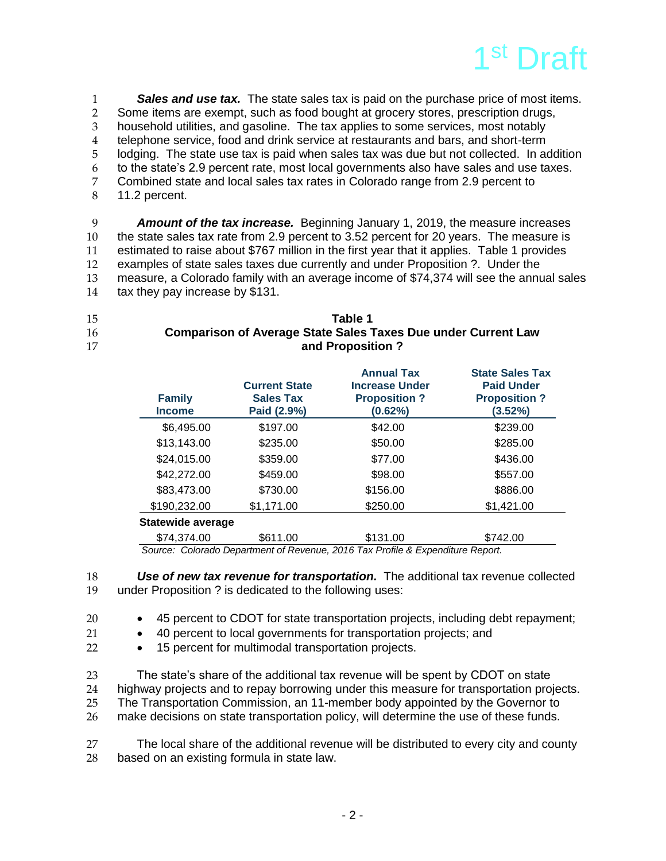

 *Sales and use tax.* The state sales tax is paid on the purchase price of most items. 2 Some items are exempt, such as food bought at grocery stores, prescription drugs,<br>3 household utilities, and gasoline. The tax applies to some services, most notably household utilities, and gasoline. The tax applies to some services, most notably telephone service, food and drink service at restaurants and bars, and short-term lodging. The state use tax is paid when sales tax was due but not collected. In addition to the state's 2.9 percent rate, most local governments also have sales and use taxes. Combined state and local sales tax rates in Colorado range from 2.9 percent to 11.2 percent.

 *Amount of the tax increase.* Beginning January 1, 2019, the measure increases the state sales tax rate from 2.9 percent to 3.52 percent for 20 years. The measure is estimated to raise about \$767 million in the first year that it applies. Table 1 provides examples of state sales taxes due currently and under Proposition ?. Under the measure, a Colorado family with an average income of \$74,374 will see the annual sales tax they pay increase by \$131.

| 15 | Table 1                                                              |
|----|----------------------------------------------------------------------|
| 16 | <b>Comparison of Average State Sales Taxes Due under Current Law</b> |
| 17 | and Proposition?                                                     |

| <b>Family</b><br><b>Income</b> | <b>Current State</b><br><b>Sales Tax</b><br>Paid (2.9%) | <b>Annual Tax</b><br><b>Increase Under</b><br><b>Proposition?</b><br>(0.62%) | <b>State Sales Tax</b><br><b>Paid Under</b><br><b>Proposition?</b><br>(3.52%) |
|--------------------------------|---------------------------------------------------------|------------------------------------------------------------------------------|-------------------------------------------------------------------------------|
| \$6,495.00                     | \$197.00                                                | \$42.00                                                                      | \$239.00                                                                      |
| \$13,143.00                    | \$235.00                                                | \$50.00                                                                      | \$285.00                                                                      |
| \$24,015.00                    | \$359.00                                                | \$77.00                                                                      | \$436.00                                                                      |
| \$42,272.00                    | \$459.00                                                | \$98.00                                                                      | \$557.00                                                                      |
| \$83,473.00                    | \$730.00                                                | \$156.00                                                                     | \$886.00                                                                      |
| \$190,232.00                   | \$1,171.00                                              | \$250.00                                                                     | \$1,421.00                                                                    |
| <b>Statewide average</b>       |                                                         |                                                                              |                                                                               |
| \$74,374.00                    | \$611.00                                                | \$131.00                                                                     | \$742.00                                                                      |

 *Source: Colorado Department of Revenue, 2016 Tax Profile & Expenditure Report.*

18 **Use of new tax revenue for transportation.** The additional tax revenue collected under Proposition ? is dedicated to the following uses: under Proposition ? is dedicated to the following uses:

20 45 percent to CDOT for state transportation projects, including debt repayment;

- 21 40 percent to local governments for transportation projects; and
- 22 15 percent for multimodal transportation projects.

 The state's share of the additional tax revenue will be spent by CDOT on state highway projects and to repay borrowing under this measure for transportation projects. The Transportation Commission, an 11-member body appointed by the Governor to make decisions on state transportation policy, will determine the use of these funds.

27 The local share of the additional revenue will be distributed to every city and county 28 based on an existing formula in state law.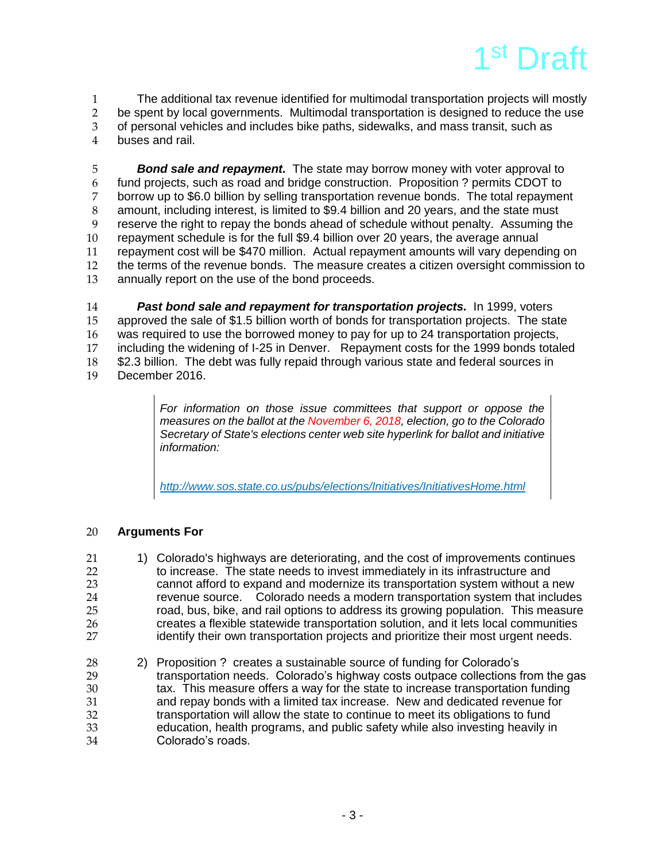

1 The additional tax revenue identified for multimodal transportation projects will mostly 2 be spent by local governments. Multimodal transportation is designed to reduce the use<br>3 of personal vehicles and includes bike paths, sidewalks, and mass transit, such as of personal vehicles and includes bike paths, sidewalks, and mass transit, such as 4 buses and rail.

 *Bond sale and repayment.* The state may borrow money with voter approval to fund projects, such as road and bridge construction. Proposition ? permits CDOT to 7 borrow up to \$6.0 billion by selling transportation revenue bonds. The total repayment<br>8 amount, including interest, is limited to \$9.4 billion and 20 vears, and the state must amount, including interest, is limited to \$9.4 billion and 20 years, and the state must reserve the right to repay the bonds ahead of schedule without penalty. Assuming the repayment schedule is for the full \$9.4 billion over 20 years, the average annual repayment cost will be \$470 million. Actual repayment amounts will vary depending on the terms of the revenue bonds. The measure creates a citizen oversight commission to annually report on the use of the bond proceeds.

 *Past bond sale and repayment for transportation projects.* In 1999, voters approved the sale of \$1.5 billion worth of bonds for transportation projects. The state was required to use the borrowed money to pay for up to 24 transportation projects, including the widening of I-25 in Denver. Repayment costs for the 1999 bonds totaled \$2.3 billion. The debt was fully repaid through various state and federal sources in December 2016.

> *For information on those issue committees that support or oppose the measures on the ballot at the November 6, 2018, election, go to the Colorado Secretary of State's elections center web site hyperlink for ballot and initiative information:*

*<http://www.sos.state.co.us/pubs/elections/Initiatives/InitiativesHome.html>*

# 20 **Arguments For**

- 21 1) Colorado's highways are deteriorating, and the cost of improvements continues 22 to increase. The state needs to invest immediately in its infrastructure and<br>23 cannot afford to expand and modernize its transportation system without a cannot afford to expand and modernize its transportation system without a new 24 revenue source. Colorado needs a modern transportation system that includes<br>25 road, bus, bike, and rail options to address its growing population. This measure road, bus, bike, and rail options to address its growing population. This measure 26 creates a flexible statewide transportation solution, and it lets local communities<br>27 complete identify their own transportation projects and prioritize their most urgent needs. identify their own transportation projects and prioritize their most urgent needs.
- 28 2) Proposition ? creates a sustainable source of funding for Colorado's 129 transportation needs. Colorado's highway costs outpace collections for transportation needs. Colorado's highway costs outpace collections from the gas 30 tax. This measure offers a way for the state to increase transportation funding 31 and repay bonds with a limited tax increase. New and dedicated revenue for 32 transportation will allow the state to continue to meet its obligations to fund 33 education, health programs, and public safety while also investing heavily in Colorado's roads.